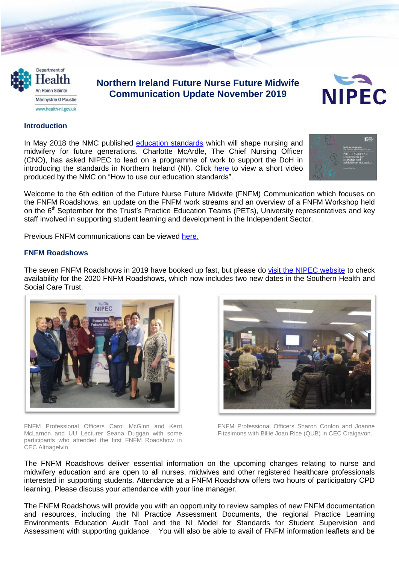Department of ealth An Roinn Sláinte Männystrie O Poustie www.health-ni.gov.uk

# **Northern Ireland Future Nurse Future Midwife Communication Update November 2019**



#### **Introduction**

In May 2018 the NMC published education [standards](https://www.nmc.org.uk/education/standards-for-education2/) which will shape nursing and midwifery for future generations. Charlotte McArdle, The Chief Nursing Officer (CNO), has asked NIPEC to lead on a programme of work to support the DoH in introducing the standards in Northern Ireland (NI). Click [here](https://www.youtube.com/watch?v=2KKMtJyFqq4) to view a short video produced by the NMC on "How to use our education standards".



Welcome to the 6th edition of the Future Nurse Future Midwife (FNFM) Communication which focuses on the FNFM Roadshows, an update on the FNFM work streams and an overview of a FNFM Workshop held on the 6<sup>th</sup> September for the Trust's Practice Education Teams (PETs), University representatives and key staff involved in supporting student learning and development in the Independent Sector.

Previous FNFM communications can be viewed [here.](https://nipec.hscni.net/service/fnfm/news/)

#### **FNFM Roadshows**

The seven FNFM Roadshows in 2019 have booked up fast, but please do visit the NIPEC [website](https://nipec.hscni.net/) to check availability for the 2020 FNFM Roadshows, which now includes two new dates in the Southern Health and Social Care Trust.



FNFM Professional Officers Carol McGinn and Kerri McLarnon and UU Lecturer Seana Duggan with some participants who attended the first FNFM Roadshow in CEC Altnagelvin.



FNFM Professional Officers Sharon Conlon and Joanne Fitzsimons with Billie Joan Rice (QUB) in CEC Craigavon.

The FNFM Roadshows deliver essential information on the upcoming changes relating to nurse and midwifery education and are open to all nurses, midwives and other registered healthcare professionals interested in supporting students. Attendance at a FNFM Roadshow offers two hours of participatory CPD learning. Please discuss your attendance with your line manager.

The FNFM Roadshows will provide you with an opportunity to review samples of new FNFM documentation and resources, including the NI Practice Assessment Documents, the regional Practice Learning Environments Education Audit Tool and the NI Model for Standards for Student Supervision and Assessment with supporting guidance. You will also be able to avail of FNFM information leaflets and be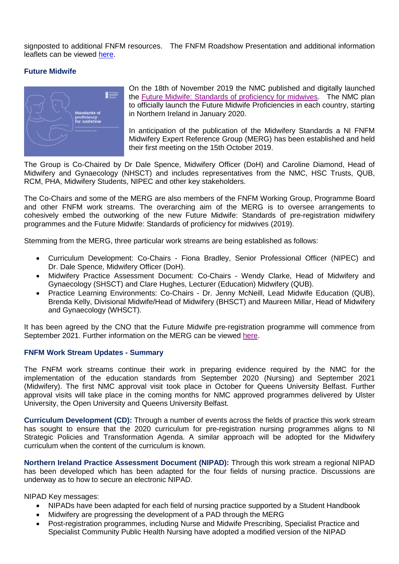signposted to additional FNFM resources. The FNFM Roadshow Presentation and additional information leaflets can be viewed [here.](https://nipec.hscni.net/service/fnfm/news/)

#### **Future Midwife**



On the 18th of November 2019 the NMC published and digitally launched the Future Midwife: Standards of [proficiency](https://www.nmc.org.uk/globalassets/sitedocuments/standards/standards-of-proficiency-for-midwives.pdf) for midwives. The NMC plan to officially launch the Future Midwife Proficiencies in each country, starting in Northern Ireland in January 2020.

In anticipation of the publication of the Midwifery Standards a NI FNFM Midwifery Expert Reference Group (MERG) has been established and held their first meeting on the 15th October 2019.

The Group is Co-Chaired by Dr Dale Spence, Midwifery Officer (DoH) and Caroline Diamond, Head of Midwifery and Gynaecology (NHSCT) and includes representatives from the NMC, HSC Trusts, QUB, RCM, PHA, Midwifery Students, NIPEC and other key stakeholders.

The Co-Chairs and some of the MERG are also members of the FNFM Working Group, Programme Board and other FNFM work streams. The overarching aim of the MERG is to oversee arrangements to cohesively embed the outworking of the new Future Midwife: Standards of pre-registration midwifery programmes and the Future Midwife: Standards of proficiency for midwives (2019).

Stemming from the MERG, three particular work streams are being established as follows:

- Curriculum Development: Co-Chairs Fiona Bradley, Senior Professional Officer (NIPEC) and Dr. Dale Spence, Midwifery Officer (DoH).
- Midwifery Practice Assessment Document: Co-Chairs Wendy Clarke, Head of Midwifery and Gynaecology (SHSCT) and Clare Hughes, Lecturer (Education) Midwifery (QUB).
- Practice Learning Environments: Co-Chairs Dr. Jenny McNeill, Lead Midwife Education (QUB), Brenda Kelly, Divisional Midwife/Head of Midwifery (BHSCT) and Maureen Millar, Head of Midwifery and Gynaecology (WHSCT).

It has been agreed by the CNO that the Future Midwife pre-registration programme will commence from September 2021. Further information on the MERG can be viewed [here.](https://nipec.hscni.net/download/106/projects-docs/587/tor_fnfm_merg_draft_18112019.pdf)

#### **FNFM Work Stream Updates - Summary**

The FNFM work streams continue their work in preparing evidence required by the NMC for the implementation of the education standards from September 2020 (Nursing) and September 2021 (Midwifery). The first NMC approval visit took place in October for Queens University Belfast. Further approval visits will take place in the coming months for NMC approved programmes delivered by Ulster University, the Open University and Queens University Belfast.

**Curriculum Development (CD):** Through a number of events across the fields of practice this work stream has sought to ensure that the 2020 curriculum for pre-registration nursing programmes aligns to NI Strategic Policies and Transformation Agenda. A similar approach will be adopted for the Midwifery curriculum when the content of the curriculum is known.

**Northern Ireland Practice Assessment Document (NIPAD):** Through this work stream a regional NIPAD has been developed which has been adapted for the four fields of nursing practice. Discussions are underway as to how to secure an electronic NIPAD.

NIPAD Key messages:

- NIPADs have been adapted for each field of nursing practice supported by a Student Handbook
- Midwifery are progressing the development of a PAD through the MERG
- Post-registration programmes, including Nurse and Midwife Prescribing, Specialist Practice and Specialist Community Public Health Nursing have adopted a modified version of the NIPAD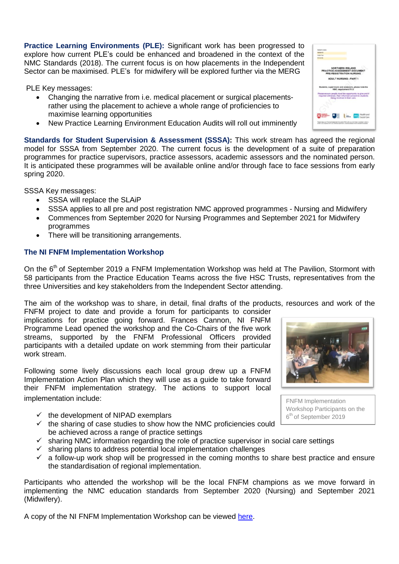**Practice Learning Environments (PLE):** Significant work has been progressed to explore how current PLE's could be enhanced and broadened in the context of the NMC Standards (2018). The current focus is on how placements in the Independent Sector can be maximised. PLE's for midwifery will be explored further via the MERG

PLE Key messages:

- Changing the narrative from i.e. medical placement or surgical placementsrather using the placement to achieve a whole range of proficiencies to maximise learning opportunities
- New Practice Learning Environment Education Audits will roll out imminently

**Standards for Student Supervision & Assessment (SSSA):** This work stream has agreed the regional model for SSSA from September 2020. The current focus is the development of a suite of preparation programmes for practice supervisors, practice assessors, academic assessors and the nominated person. It is anticipated these programmes will be available online and/or through face to face sessions from early spring 2020.

SSSA Key messages:

- SSSA will replace the SLAiP
- SSSA applies to all pre and post registration NMC approved programmes Nursing and Midwifery
- Commences from September 2020 for Nursing Programmes and September 2021 for Midwifery programmes
- There will be transitioning arrangements.

## **The NI FNFM Implementation Workshop**

On the 6<sup>th</sup> of September 2019 a FNFM Implementation Workshop was held at The Pavilion, Stormont with 58 participants from the Practice Education Teams across the five HSC Trusts, representatives from the three Universities and key stakeholders from the Independent Sector attending.

The aim of the workshop was to share, in detail, final drafts of the products, resources and work of the FNFM project to date and provide a forum for participants to consider

implications for practice going forward. Frances Cannon, NI FNFM Programme Lead opened the workshop and the Co-Chairs of the five work streams, supported by the FNFM Professional Officers provided participants with a detailed update on work stemming from their particular work stream.

Following some lively discussions each local group drew up a FNFM Implementation Action Plan which they will use as a guide to take forward their FNFM implementation strategy. The actions to support local implementation include:

- $\checkmark$  the development of NIPAD exemplars
- $\checkmark$  the sharing of case studies to show how the NMC proficiencies could be achieved across a range of practice settings
- $\checkmark$  sharing NMC information regarding the role of practice supervisor in social care settings
- $\checkmark$  sharing plans to address potential local implementation challenges
- $\checkmark$  a follow-up work shop will be progressed in the coming months to share best practice and ensure the standardisation of regional implementation.

Participants who attended the workshop will be the local FNFM champions as we move forward in implementing the NMC education standards from September 2020 (Nursing) and September 2021 (Midwifery).

A copy of the NI FNFM Implementation Workshop can be viewed [here.](https://nipec.hscni.net/download/114/presentations/593/fnfm_workshop_06092019-final.pdf)



FNFM Implementation Workshop Participants on the 6<sup>th</sup> of September 2019